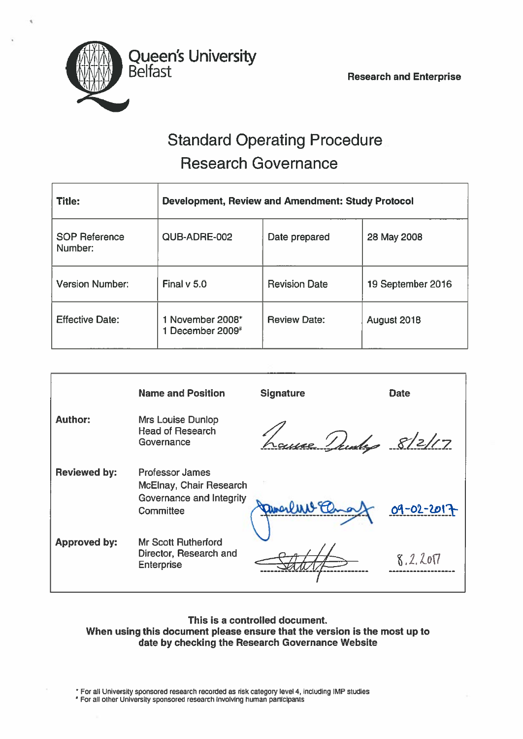

# Standard Operating Procedure Research Governance

| <b>Title:</b>                   | <b>Development, Review and Amendment: Study Protocol</b> |                      |                   |  |  |
|---------------------------------|----------------------------------------------------------|----------------------|-------------------|--|--|
| <b>SOP Reference</b><br>Number: | QUB-ADRE-002                                             | Date prepared        | 28 May 2008       |  |  |
| <b>Version Number:</b>          | Final $v$ 5.0                                            | <b>Revision Date</b> | 19 September 2016 |  |  |
| <b>Effective Date:</b>          | 1 November 2008*<br>1 December 2009#                     | <b>Review Date:</b>  | August 2018       |  |  |

|                     | <b>Name and Position</b>                                                  | <b>Signature</b>    | <b>Date</b> |
|---------------------|---------------------------------------------------------------------------|---------------------|-------------|
| <b>Author:</b>      | Mrs Louise Dunlop<br><b>Head of Research</b><br>Governance                | Laure Dunker 8/2/17 |             |
| <b>Reviewed by:</b> | <b>Professor James</b><br>McElnay, Chair Research                         |                     |             |
|                     | Governance and Integrity<br>Committee                                     |                     | 09-02-2017  |
| <b>Approved by:</b> | <b>Mr Scott Rutherford</b><br>Director, Research and<br><b>Enterprise</b> |                     | 8.2.207     |

This is <sup>a</sup> controlled document. When using this document please ensure that the version is the most up to date by checking the Research Governance Website

- \* For all University sponsored research recorded as risk category level 4, including IMP studies
- \* For all other university sponsored research involving human participants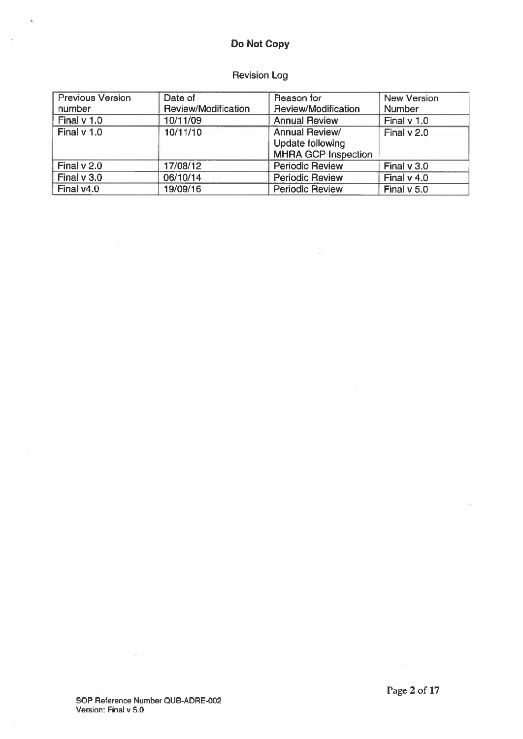# Do Not Copy

 $\tilde{\mathbf{t}}$ 

 $\bar{a}$ 

# Revision Log

| <b>Previous Version</b> | Date of             | Reason for                                                                     | <b>New Version</b> |
|-------------------------|---------------------|--------------------------------------------------------------------------------|--------------------|
| number                  | Review/Modification | Review/Modification                                                            | Number             |
| Final $v$ 1.0           | 10/11/09            | <b>Annual Review</b>                                                           | Final v 1.0        |
| Final v 1.0             | 10/11/10            | <b>Annual Review/</b><br><b>Update following</b><br><b>MHRA GCP Inspection</b> | Final v 2.0        |
| Final $v$ 2.0           | 17/08/12            | <b>Periodic Review</b>                                                         | Final $v$ 3.0      |
| Final $v$ 3.0           | 06/10/14            | <b>Periodic Review</b>                                                         | Final $v$ 4.0      |
| Final v4.0              | 19/09/16            | <b>Periodic Review</b>                                                         | Final $v$ 5.0      |

 $\overline{\mathbb{C}^2}$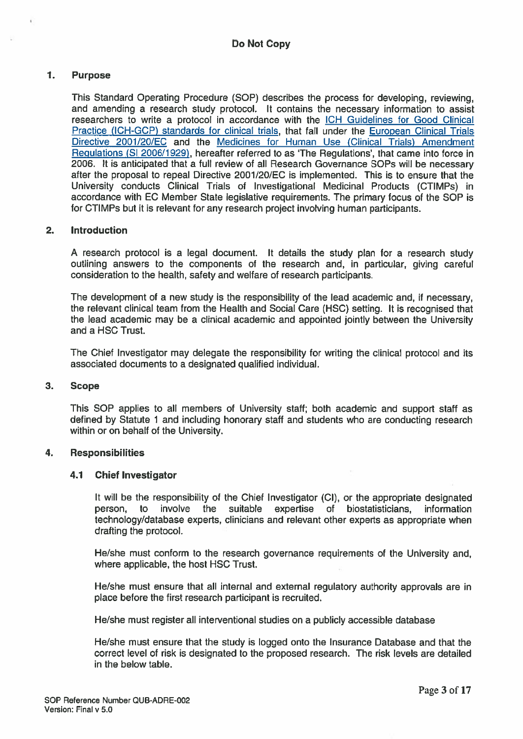# 1. Purpose

This Standard Operating Procedure (SOP) describes the process for developing, reviewing, and amending <sup>a</sup> research study protocol. It contains the necessary information to assist researchers to write <sup>a</sup> protocol in accordance with the ICH Guidelines for Good Clinical Practice (ICH-GCP) standards for clinical trials, that fall under the European Clinical Trials Directive 2001/20/EC and the Medicines for Human Use (Clinical Trials) Amendment Regulations (SI 2006/1929), hereafter referred to as 'The Regulations', that came into force in 2006. It is anticipated that <sup>a</sup> full review of all Research Governance SOPs will be necessary after the proposal to repeal Directive 2001/20/EC is implemented. This is to ensure that the University conducts Clinical Trials of Investigational Medicinal Products (CTIMPs) in accordance with EC Member State legislative requirements. The primary focus of the SOP is for CTIMPs but it is relevant for any research project involving human participants.

# 2. Introduction

A research protocol is <sup>a</sup> legal document. It details the study plan for <sup>a</sup> research study outlining answers to the components of the research and, in particular, giving careful consideration to the health, safety and welfare of research participants.

The development of <sup>a</sup> new study is the responsibility of the lead academic and, if necessary, the relevant clinical team from the Health and Social Care (HSC) setting. It is recognised that the lead academic may be <sup>a</sup> clinical academic and appointed jointly between the University and <sup>a</sup> HSC Trust.

The Chief Investigator may delegate the responsibility for writing the clinical protocol and its associated documents to <sup>a</sup> designated qualified individual.

# 3. Scope

This SOP applies to all members of University staff; both academic and suppor<sup>t</sup> staff as defined by Statute 1 and including honorary staff and students who are conducting research within or on behalf of the University.

# 4. Responsibilities

# 4.1 Chief Investigator

It will be the responsibility of the Chief Investigator (Cl), or the appropriate designated person, to involve the suitable expertise of biostatisticians, information technology/database experts, clinicians and relevant other experts as appropriate when drafting the protocol.

He/she must conform to the research governance requirements of the University and, where applicable, the host HSC Trust.

He/she must ensure that all internal and external regulatory authority approvals are in place before the first research participant is recruited.

He/she must register all interventional studies on <sup>a</sup> publicly accessible database

He/she must ensure that the study is logged onto the Insurance Database and that the correct level of risk is designated to the proposed research. The risk levels are detailed in the below table.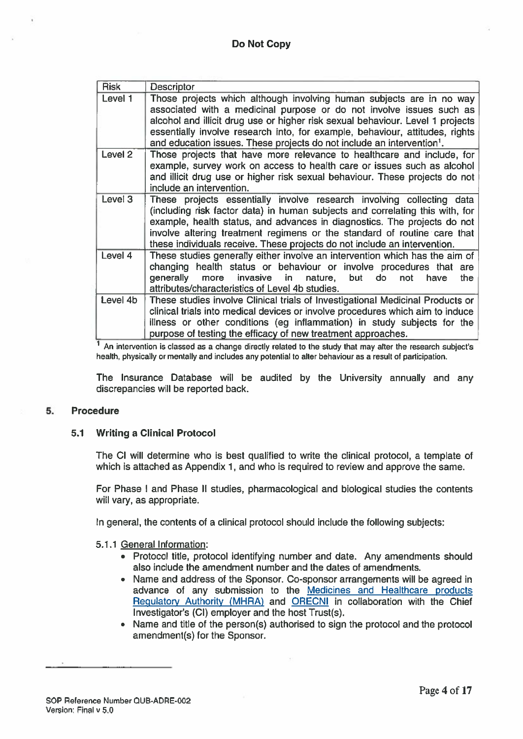| <b>Risk</b> | <b>Descriptor</b>                                                                                                                                                                                                                                                                                                                                                                                    |
|-------------|------------------------------------------------------------------------------------------------------------------------------------------------------------------------------------------------------------------------------------------------------------------------------------------------------------------------------------------------------------------------------------------------------|
| Level 1     | Those projects which although involving human subjects are in no way<br>associated with a medicinal purpose or do not involve issues such as<br>alcohol and illicit drug use or higher risk sexual behaviour. Level 1 projects<br>essentially involve research into, for example, behaviour, attitudes, rights<br>and education issues. These projects do not include an intervention <sup>1</sup> . |
| Level 2     | Those projects that have more relevance to healthcare and include, for<br>example, survey work on access to health care or issues such as alcohol<br>and illicit drug use or higher risk sexual behaviour. These projects do not<br>include an intervention.                                                                                                                                         |
| Level 3     | These projects essentially involve research involving collecting data<br>(including risk factor data) in human subjects and correlating this with, for<br>example, health status, and advances in diagnostics. The projects do not<br>involve altering treatment regimens or the standard of routine care that<br>these individuals receive. These projects do not include an intervention.          |
| Level 4     | These studies generally either involve an intervention which has the aim of<br>changing health status or behaviour or involve procedures that are<br>generally more invasive in nature, but do not<br>the<br>have<br>attributes/characteristics of Level 4b studies.                                                                                                                                 |
| Level 4b    | These studies involve Clinical trials of Investigational Medicinal Products or<br>clinical trials into medical devices or involve procedures which aim to induce<br>illness or other conditions (eg inflammation) in study subjects for the<br>purpose of testing the efficacy of new treatment approaches.                                                                                          |

<sup>1</sup> An intervention is classed as a change directly related to the study that may alter the research subject's health, physically or mentally and includes any potential to alter behaviour as <sup>a</sup> result of participation.

The Insurance Database will be audited by the University annually and any discrepancies will be reported back.

# 5. Procedure

# 5.1 Writing <sup>a</sup> Clinical Protocol

The Cl will determine who is best qualified to write the clinical protocol, <sup>a</sup> template of which is attached as Appendix 1, and who is required to review and approve the same.

For Phase I and Phase II studies, pharmacological and biological studies the contents will vary, as appropriate.

In general, the contents of <sup>a</sup> clinical protocol should include the following subjects:

5.1.1 General Information:

- Protocol title, protocol identifying number and date. Any amendments should also include the amendment number and the dates of amendments.
- Name and address of the Sponsor. Co-sponsor arrangements will be agreed in advance of any submission to the Medicines and Healthcare products Regulatory Authority (MHRA) and ORECNI in collaboration with the Chief Investigator's (Cl) employer and the host Trust(s).
- Name and title of the person(s) authorised to sign the protocol and the protocol amendment(s) for the Sponsor.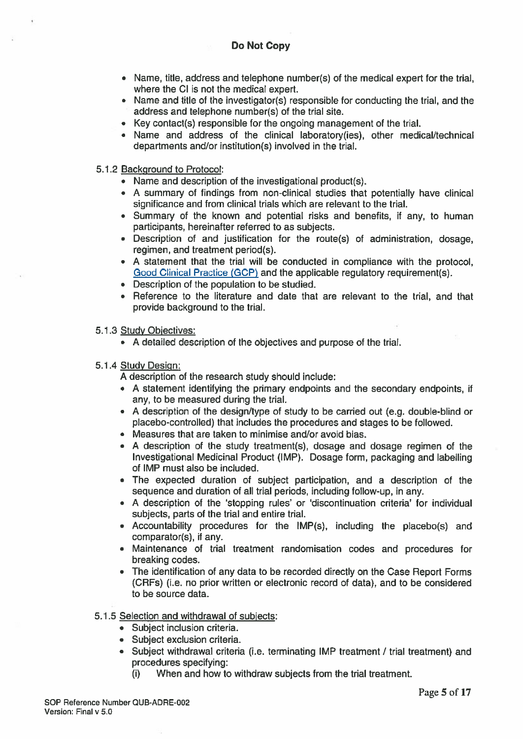# Do Not Copy

- Name, title, address and telephone number(s) of the medical exper<sup>t</sup> for the trial, where the Cl is not the medical expert.
- $\bullet~$  Name and title of the investigator(s) responsible for conducting the trial, and the address and telephone number(s) of the trial site.
- Key contact(s) responsible for the ongoing managemen<sup>t</sup> of the trial.
- Name and address of the clinical laboratory(ies), other medical/technical departments and/or institution(s) involved in the trial.
- 5.1.2 Background to Protocol:
	- Name and description of the investigational product(s).
	- A summary of findings from nan-clinical studies that potentially have clinical significance and from clinical trials which are relevant to the trial.
	- Summary of the known and potential risks and benefits, if any, to human participants, hereinafter referred to as subjects.
	- Description of and justification for the route(s) of administration, dosage, regimen, and treatment period(s).
	- A statement that the trial will be conducted in compliance with the protocol, Good Clinical Practice (GCP) and the applicable regulatory requirement(s).
	- Description of the population to be studied.
	- Reference to the literature and date that are relevant to the trial, and that provide background to the trial.

5.1.3 Study Obiectives:

- A detailed description of the objectives and purpose of the trial.
- 5.1.4 Study Design:

A description of the research study should include:

- A statement identifying the primary endpoints and the secondary endpoints, if any, to be measured during the trial.
- A description of the design/type of study to be carried out (e.g. double-blind or placebo-controlled) that includes the procedures and stages to be followed.
- Measures that are taken to minimise and/or avoid bias.
- A description of the study treatment(s), dosage and dosage regimen of the Investigational Medicinal Product (IMP). Dosage form, packaging and labelling of IMP must also be included.
- The expected duration of subject participation, and <sup>a</sup> description of the sequence and duration of all trial periods, including follow-up, in any.
- A description of the 'stopping rules' or 'discontinuation criteria' for individual subjects, parts of the trial and entire trial.
- Accountability procedures for the IMP(s), including the placebo(s) and comparator(s), if any.
- Maintenance of trial treatment randomisation codes and procedures for breaking codes.
- The identification of any data to be recorded directly on the Case Report Forms (CRFs) (i.e. no prior written or electronic record of data), and to be considered to be source data.

# 5.1.5 Selection and withdrawal of subjects:

- Subject inclusion criteria.
- Subject exclusion criteria.
- Subject withdrawal criteria (i.e. terminating IMP treatment / trial treatment) and procedures specifying:
	- (i) When and how to withdraw subjects from the trial treatment.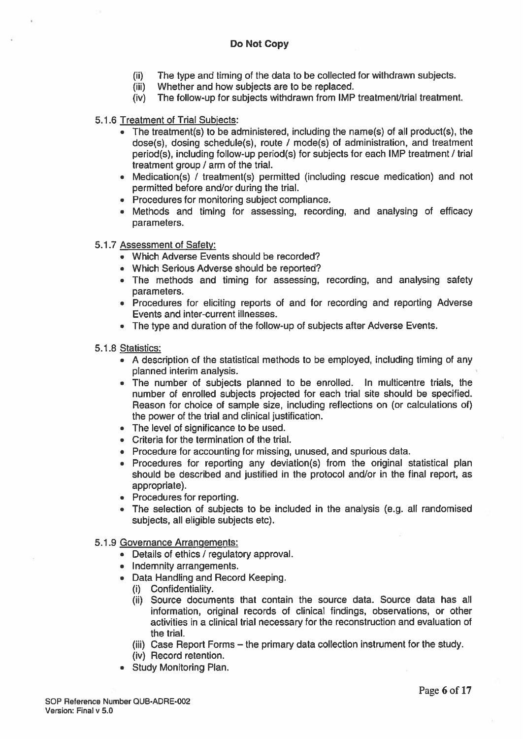- $(i)$  The type and timing of the data to be collected for withdrawn subjects.
- (iii) Whether and how subjects are to be replaced.<br>(iv) The follow-up for subjects withdrawn from IMP
- The follow-up for subjects withdrawn from IMP treatment/trial treatment.

5.1.6 Treatment of Trial Subiects:

- The treatment(s) to be administered, including the name(s) of all product(s), the dose(s), dosing schedule(s), route / mode(s) of administration, and treatment period(s), including follow-up period(s) for subjects for each IMP treatment / trial treatment group / arm of the trial.
- Medication(s) / treatment(s) permitted (including rescue medication) and not permitted before and/or during the trial.
- Procedures for monitoring subject compliance.
- Methods and timing for assessing, recording, and analysing of efficacy parameters.
- 5.1.7 Assessment of Safety:
	- Which Adverse Events should be recorded?
	- Which Serious Adverse should be reported?
	- The methods and timing for assessing, recording, and analysing safety parameters.
	- Procedures for eliciting reports of and for recording and reporting Adverse Events and inter-current illnesses.
	- The type and duration of the follow-up of subjects after Adverse Events.

5.1.8 Statistics:

- A description of the statistical methods to be employed, including timing of any planned interim analysis.
- The number of subjects planned to be enrolled. In multicentre trials, the number of enrolled subjects projected for each trial site should be specified. Reason for choice of sample size, including reflections on (or calculations of) the power of the trial and clinical justification.
- The level of significance to be used.
- Criteria for the termination of the trial.
- Procedure for accounting for missing, unused, and spurious data.
- Procedures for reporting any deviation(s) from the original statistical plan should be described and justified in the protocol and/or in the final report, as appropriate).
- Procedures for reporting.
- The selection of subjects to be included in the analysis (e.g. all randomised subjects, all eligible subjects etc).

### 5.1.9 Governance Arrangements:

- Details of ethics / regulatory approval.
- Indemnity arrangements.
- Data Handling and Record Keeping.
	- (i) Confidentiality.
	- (ii) Source documents that contain the source data. Source data has all information, original records of clinical findings, observations, or other activities in <sup>a</sup> clinical trial necessary for the reconstruction and evaluation of the trial.
	- $(iii)$  Case Report Forms  $-$  the primary data collection instrument for the study.
	- (iv) Record retention.
- Study Monitoring Plan.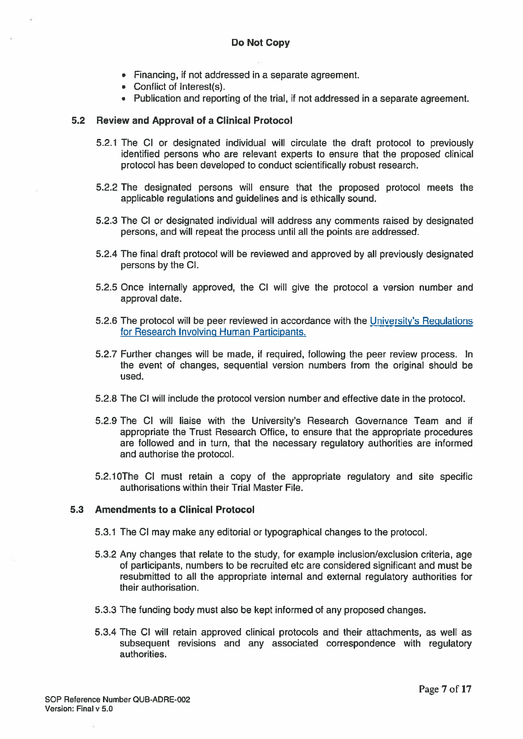- Financing, if not addressed in <sup>a</sup> separate agreement.
- Conflict of Interest(s).
- Publication and reporting of the trial, if not addressed in <sup>a</sup> separate agreement.

# 5.2 Review and Approval of <sup>a</sup> Clinical Protocol

- 5.2.1 The Cl or designated individual will circulate the draft protocol to previously identified persons who are relevant experts to ensure that the proposed clinical protocol has been developed to conduct scientifically robust research.
- 5.2.2 The designated persons will ensure that the proposed protocol meets the applicable regulations and guidelines and is ethically sound.
- 5.2.3 The Cl or designated individual will address any comments raised by designated persons, and will repea<sup>t</sup> the process until all the points are addressed.
- 5.2.4 The final draft protocol will be reviewed and approved by all previously designated persons by the Cl.
- 5.2.5 Once internally approved, the Cl will give the protocol <sup>a</sup> version number and approval date.
- 5.2.6 The protocol will be peer reviewed in accordance with the University's Regulations for Research Involving Human Participants.
- 5.2.7 Further changes will be made, if required, following the peer review process. In the event of changes, sequential version numbers from the original should be used.
- 5.2.8 The Cl will include the protocol version number and effective date in the protocol.
- 5.2.9 The Cl will liaise with the University's Research Governance Team and if appropriate the Trust Research Office, to ensure that the appropriate procedures are followed and in turn, that the necessary regulatory authorities are informed and authorise the protocol.
- 5.2.lOThe Cl must retain <sup>a</sup> copy of the appropriate regulatory and site specific authorisations within their Trial Master File.

# 5.3 Amendments to <sup>a</sup> Clinical Protocol

- 5.3.1 The Cl may make any editorial or typographical changes to the protocol.
- 5.3.2 Any changes that relate to the study, for example inclusion/exclusion criteria, age of participants, numbers to be recruited etc are considered significant and must be resubmitted to all the appropriate internal and external regulatory authorities for their authorisation.
- 5.3.3 The funding body must also be kept informed of any proposed changes.
- 5.3.4 The Cl will retain approved clinical protocols and their attachments, as well as subsequent revisions and any associated correspondence with regulatory authorities.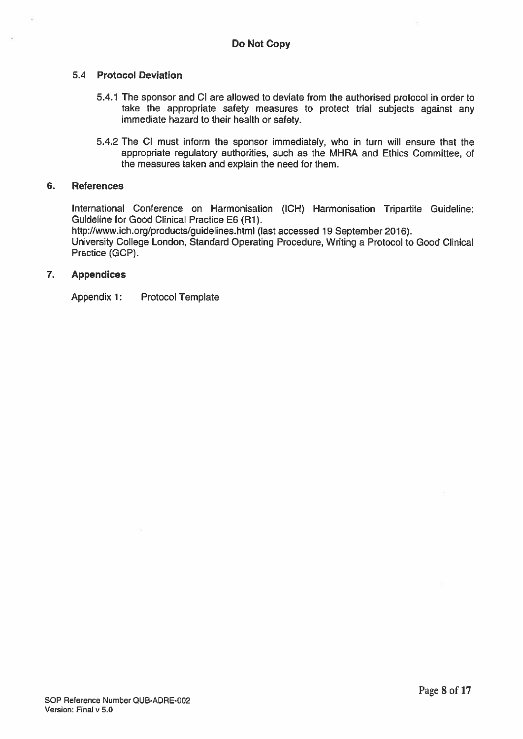# 5.4 Protocol Deviation

- 5.4.1 The sponsor and Cl are allowed to deviate from the authorised protocol in order to take the appropriate safety measures to protect trial subjects against any immediate hazard to their health or safety.
- 5.4.2 The CI must inform the sponsor immediately, who in turn will ensure that the appropriate regulatory authorities, such as the MHRA and Ethics Committee, of the measures taken and explain the need for them.

# 6. References

International Conference on Harmonisation (ICH) Harmonisation Tripartite Guideline: Guideline for Good Clinical Practice E6 (Ri).

http://www.ich.org/products/guidelines.html (last accessed 19 September 2016).

University College London, Standard Operating Procedure, Writing <sup>a</sup> Protocol to Good Clinical Practice (GCP).

# 7. Appendices

Appendix 1: Protocol Template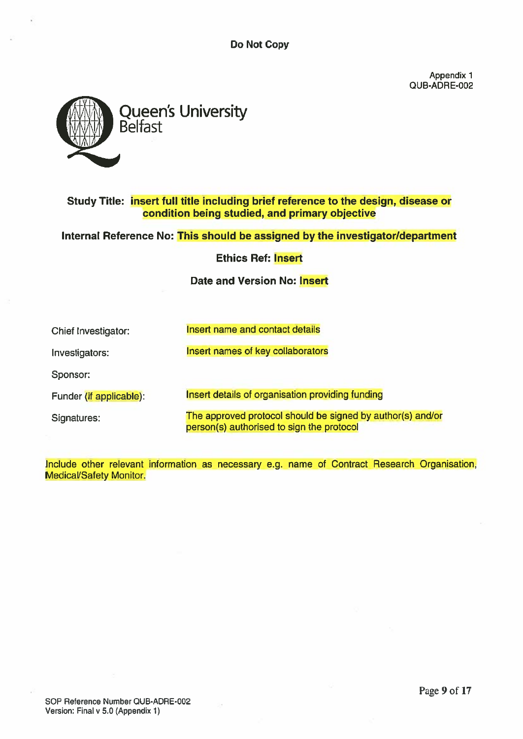Do Not Copy

Appendix 1 QUB-ADRE-002



# Study Title: insert full title including brief reference to the design, disease or condition being studied, and primary objective

Internal Reference No: This should be assigned by the investigator/department

Ethics Ret: Insert

Date and Version No: Insert

| Chief Investigator:     | Insert name and contact details                                                                         |
|-------------------------|---------------------------------------------------------------------------------------------------------|
| Investigators:          | Insert names of key collaborators                                                                       |
| Sponsor:                |                                                                                                         |
| Funder (if applicable): | Insert details of organisation providing funding                                                        |
| Signatures:             | The approved protocol should be signed by author(s) and/or<br>person(s) authorised to sign the protocol |

Include other relevant information as necessary e.g. name of Contract Research Organisation, Medical/Safety Monitor.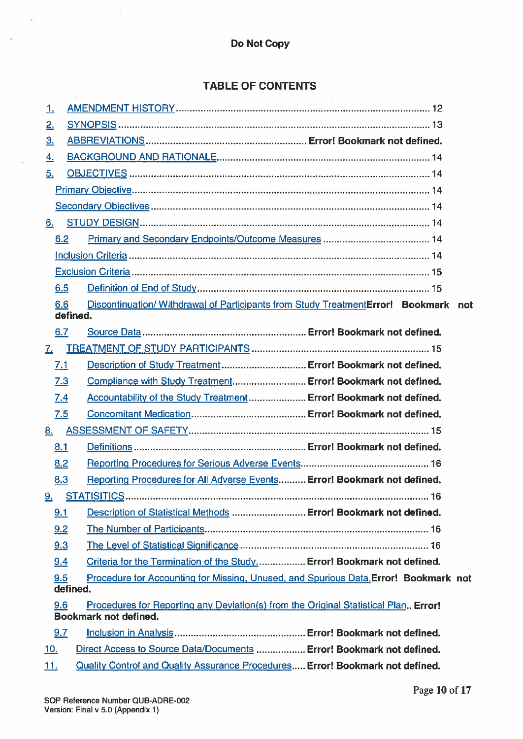# TABLE OF CONTENTS

| <u>1.</u>  |                                                                                                                     |     |
|------------|---------------------------------------------------------------------------------------------------------------------|-----|
| 2.         |                                                                                                                     |     |
| <u>3.</u>  |                                                                                                                     |     |
| <u>4.</u>  |                                                                                                                     |     |
| <u>5.</u>  |                                                                                                                     |     |
|            |                                                                                                                     |     |
|            |                                                                                                                     |     |
| <u>6.</u>  |                                                                                                                     |     |
| 6.2        |                                                                                                                     |     |
|            |                                                                                                                     |     |
|            |                                                                                                                     |     |
| 6.5        |                                                                                                                     |     |
| 6.6        | Discontinuation/Withdrawal of Participants from Study TreatmentError! Bookmark<br>defined.                          | not |
| 6.7        |                                                                                                                     |     |
| <u>7.</u>  |                                                                                                                     |     |
| <u>7.1</u> | Description of Study Treatment Error! Bookmark not defined.                                                         |     |
| 7.3        | Compliance with Study Treatment Error! Bookmark not defined.                                                        |     |
| 7.4        | Accountability of the Study Treatment Error! Bookmark not defined.                                                  |     |
| 7.5        |                                                                                                                     |     |
| <u>8.</u>  |                                                                                                                     |     |
| 8.1        |                                                                                                                     |     |
| 8.2        |                                                                                                                     |     |
| 8.3        | Reporting Procedures for All Adverse Events Error! Bookmark not defined.                                            |     |
| 9.         |                                                                                                                     |     |
| <u>9.1</u> | Description of Statistical Methods  Error! Bookmark not defined.                                                    |     |
| 9.2        |                                                                                                                     |     |
| 9.3        |                                                                                                                     |     |
| 9.4        | Criteria for the Termination of the Study Error! Bookmark not defined.                                              |     |
| 9.5        | Procedure for Accounting for Missing, Unused, and Spurious Data. Error! Bookmark not<br>defined.                    |     |
| 9.6        | Procedures for Reporting any Deviation(s) from the Original Statistical Plan Error!<br><b>Bookmark not defined.</b> |     |
| 9.7        |                                                                                                                     |     |
| <u>10.</u> | Direct Access to Source Data/Documents  Error! Bookmark not defined.                                                |     |
| <u>11.</u> | Quality Control and Quality Assurance Procedures Error! Bookmark not defined.                                       |     |

 $\mathbb{R}^3$ 

 $\hat{z}$ 

 $\mathcal{R}$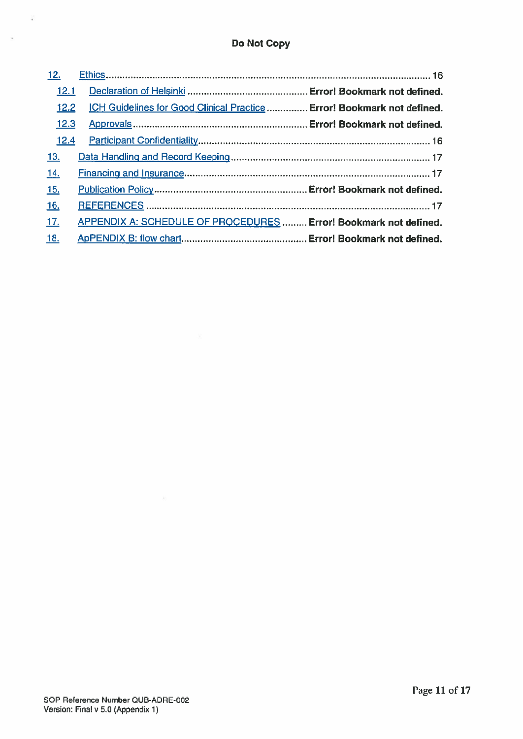| 12.        |                                                                         |  |
|------------|-------------------------------------------------------------------------|--|
| 12.1       |                                                                         |  |
| 12.2       | ICH Guidelines for Good Clinical Practice Error! Bookmark not defined.  |  |
| 12.3       |                                                                         |  |
| 12.4       |                                                                         |  |
| <u>13.</u> |                                                                         |  |
| 14.        |                                                                         |  |
| <u>15.</u> |                                                                         |  |
| <u>16.</u> |                                                                         |  |
| <u>17.</u> | <b>APPENDIX A: SCHEDULE OF PROCEDURES  Error! Bookmark not defined.</b> |  |
| <u>18.</u> |                                                                         |  |

 $\hat{\pi}$ 

 $\frac{1}{2}$ 

 $\sim$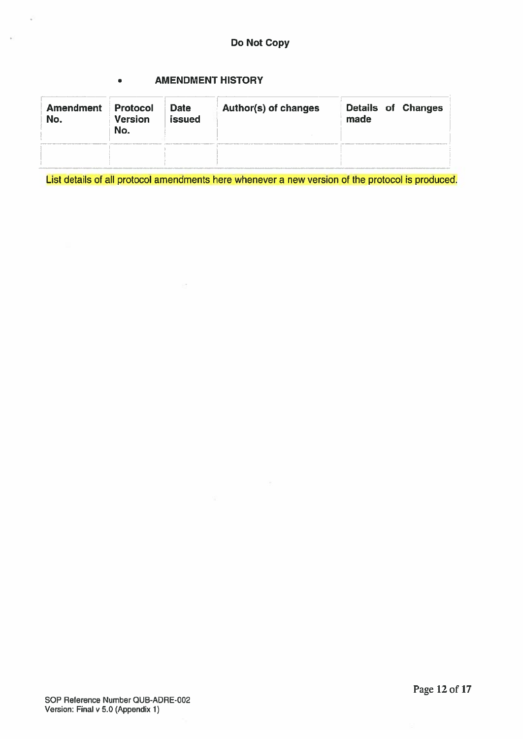# AMENDMENT HISTORY

 $\sim$ 

 $\bullet$ 

×

 $\ddot{\psi}$ 

| <b>Amendment</b><br>No. | <b>Protocol</b><br><b>Version</b><br>No. | <b>Date</b><br><b>issued</b> | Author(s) of changes | made | <b>Details of Changes</b> |
|-------------------------|------------------------------------------|------------------------------|----------------------|------|---------------------------|
|                         |                                          |                              |                      |      |                           |

List details of all protocol amendments here whenever <sup>a</sup> new version of the protocol is produced.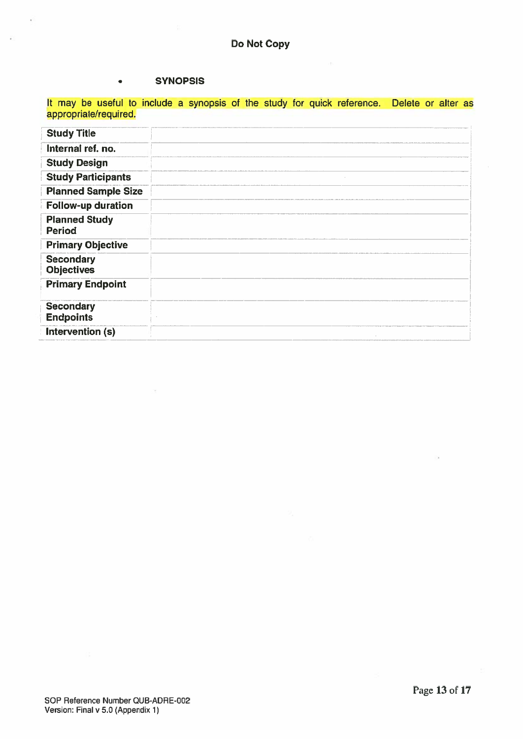# **SYNOPSIS**

÷

 $\hat{a}$ 

|                                                                                                                      |                 | Do Not Copy |  |
|----------------------------------------------------------------------------------------------------------------------|-----------------|-------------|--|
|                                                                                                                      |                 |             |  |
|                                                                                                                      | <b>SYNOPSIS</b> |             |  |
| It may be useful to include a synopsis of the study for quick reference. Delete or alter as<br>appropriate/required. |                 |             |  |
| <b>Study Title</b>                                                                                                   |                 |             |  |
| Internal ref. no.                                                                                                    |                 |             |  |
| <b>Study Design</b>                                                                                                  |                 |             |  |
| <b>Study Participants</b>                                                                                            |                 |             |  |
| <b>Planned Sample Size</b>                                                                                           |                 |             |  |
| <b>Follow-up duration</b>                                                                                            |                 |             |  |
| <b>Planned Study</b><br><b>Period</b>                                                                                |                 |             |  |
| <b>Primary Objective</b>                                                                                             |                 |             |  |
| <b>Secondary</b><br><b>Objectives</b>                                                                                |                 |             |  |
| <b>Primary Endpoint</b>                                                                                              |                 |             |  |
| <b>Secondary</b><br><b>Endpoints</b>                                                                                 |                 |             |  |
| Intervention (s)                                                                                                     |                 |             |  |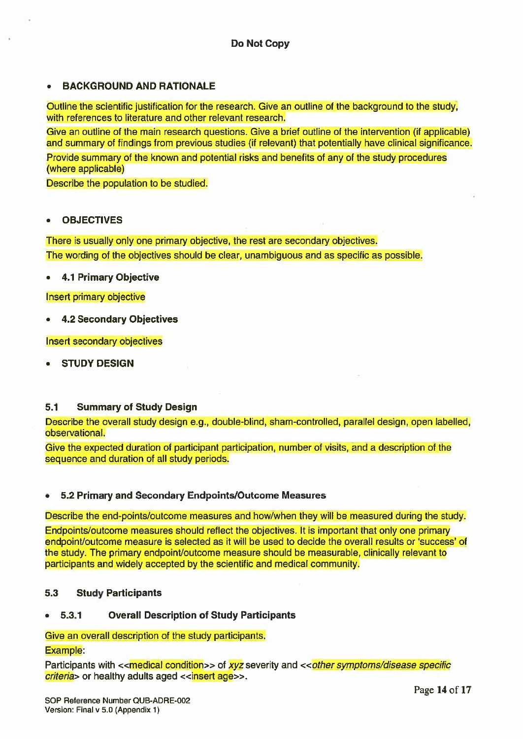# BACKGROUND AND RATIONALE

Outline the scientific justification for the research. Give an outline of the background to the study, with references to literature and other relevant research.

Give an outline of the main research questions. Give <sup>a</sup> brief outline of the intervention (if applicable) and summary of findings from previous studies (if relevant) that potentially have clinical significance. Provide summary of the known and potential risks and benefits of any of the study procedures

(where applicable)

Describe the population to be studied.

### •OBJECTIVES

There is usually only one primary objective, the rest are secondary objectives. The wording of the objectives should be clear, unambiguous and as specific as possible.

#### •4.1 Primary Objective

Insert primary objective

#### •4.2 Secondary Objectives

Insert secondary objectives

•STUDY DESIGN

# 5.1 Summary of Study Design

Describe the overall study design e.g., double-blind, sham-controlled, parallel design, open labelled, observational.

Give the expected duration of participant participation, number of visits, and <sup>a</sup> description of the sequence and duration of all study periods.

### •5.2 Primary and Secondary Endpoints/Outcome Measures

Describe the end-points/outcome measures and how/when they will be measured during the study.

Endpoints/outcome measures should reflect the objectives. It is important that only one primary endpoint/outcome measure is selected as it will be used to decide the overall results or 'success' of the study. The primary endpoint/outcome measure should be measurable, clinically relevant to participants and widely accepted by the scientific and medical community.

# 5.3 Study Participants

### •5.3.1 Overall Description of Study Participants

Give an overall description of the study participants.

Example:

Participants with  $\prec$ medical condition>> of xyz severity and  $\prec$ other symptoms/disease specific criteria> or healthy adults aged <<insert age>>.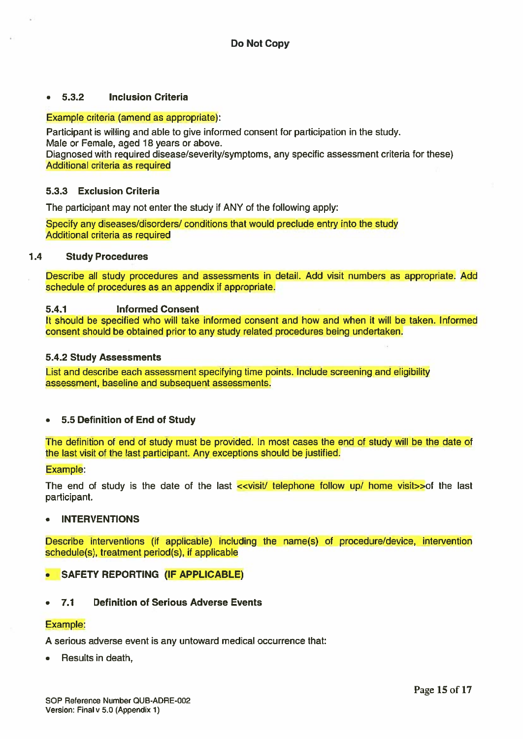#### • 5.3.2 5.3.2 Inclusion Criteria

# Example criteria (amend as appropriate):

Participant is willing and able to give informed consent for participation in the study. Male or Female, aged 18 years or above.

Diagnosed with required disease/severity/symptoms, any specific assessment criteria for these) Additional criteria as required

# 5.3.3 Exclusion Criteria

The participant may not enter the study if ANY of the following apply:

Specify any diseases/disorders/ conditions that would preclude entry into the study Additional criteria as required

# 1.4 Study Procedures

Describe all study procedures and assessments in detail. Add visit numbers as appropriate. Add schedule of procedures as an appendix if appropriate.

### 5.4.1 Informed Consent

It should be specified who will take informed consent and how and when it will be taken. Informed consent should be obtained prior to any study related procedures being undertaken.

### 5.4.2 Study Assessments

List and describe each assessment specifying time points. Include screening and eligibility assessment, baseline and subsequent assessments.

#### •5.5 Definition of End of Study

The definition of end of study must be provided. In most cases the end of study will be the date of the last visit of the last participant. Any exceptions should be justified.

### Example:

The end of study is the date of the last <<visit/ telephone follow up/ home visit>>of the last participant.

#### •INTERVENTIONS

Describe interventions (if applicable) including the name(s) of procedure/device, intervention schedule(s), treatment period(s), if applicable

#### •SAFETY REPORTING (IF APPLICABLE)

#### •7.1 Definition of Serious Adverse Events

# Example:

A serious adverse event is any untoward medical occurrence that:

•Results in death,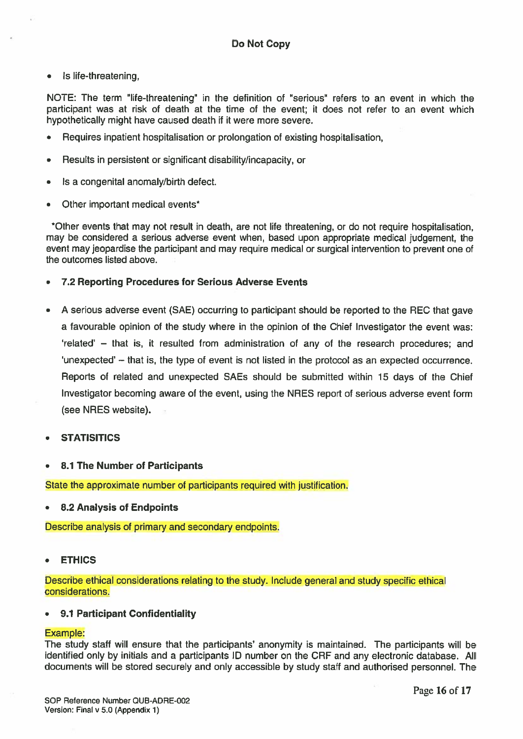Is life-threatening,  $\bullet$ 

NOTE: The term "life-threatening' in the definition of "serious" refers to an event in which the participant was at risk of death at the time of the event; it does not refer to an event which hypothetically might have caused death if it were more severe.

- Requires inpatient hospitalisation or prolongation of existing hospitalisation,
- •Results in persistent or significant disability/incapacity, or
- •Is <sup>a</sup> congenital anomaly/birth defect.
- •Other important medical events\*

tOther events that may not result in death, are not life threatening, or do not require hospitalisation, may be considered <sup>a</sup> serious adverse event when, based upon appropriate medical judgement, the event may jeopardise the participant and may require medical or surgical intervention to preven<sup>t</sup> one of the outcomes listed above.

- •7.2 Reporting Procedures for Serious Adverse Events
- • A serious adverse event (SAE) occurring to participant should be reported to the REC that gave <sup>a</sup> favourable opinion of the study where in the opinion of the Chief Investigator the event was: 'related' — that is, it resulted from administration of any of the research procedures; and 'unexpected' — that is, the type of event is not listed in the protocol as an expected occurrence. Reports of related and unexpected SAEs should be submitted within 15 days of the Chief Investigator becoming aware of the event, using the NRES repor<sup>t</sup> of serious adverse event form (see NRES website).
- •**STATISITICS**
- •8.1 The Number of Participants

State the approximate number of participants required with justification.

•8.2 Analysis of Endpoints

Describe analysis of primary and secondary endpoints.

•ETHICS

Describe ethical considerations relating to the study. Include general and study specific ethical considerations.

#### •9.1 Participant Confidentiality

# Example:

The study staff will ensure that the participants' anonymity is maintained. The participants will be identified only by initials and <sup>a</sup> participants ID number on the CRF and any electronic database. All documents will be stored securely and only accessible by study staff and authorised personnel. The